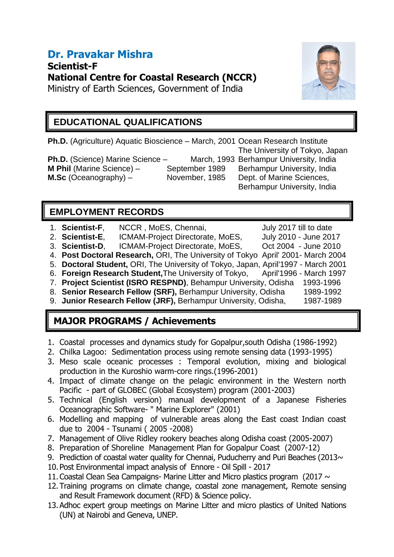# **Dr. Pravakar Mishra**

**Scientist-F National Centre for Coastal Research (NCCR)**

Ministry of Earth Sciences, Government of India



### **EDUCATIONAL QUALIFICATIONS**

**Ph.D.** (Agriculture) Aquatic Bioscience – March, 2001 Ocean Research Institute The University of Tokyo, Japan **Ph.D.** (Science) Marine Science – March, 1993 Berhampur University, India **M Phil (Marine Science) – September 1989 Berhampur University, India** 

**M.Sc** (Oceanography) – November, 1985 Dept. of Marine Sciences,

Berhampur University, India

### **EMPLOYMENT RECORDS**

- 1. **Scientist-F**, NCCR, MoES, Chennai, July 2017 till to date
- 2. **Scientist-E**, ICMAM-Project Directorate, MoES, July 2010 June 2017
- 3. **Scientist-D**, ICMAM-Project Directorate, MoES, Oct 2004 June 2010
- 4. **Post Doctoral Research,** ORI, The University of Tokyo April' 2001- March 2004
- 5. **Doctoral Student,** ORI, The University of Tokyo, Japan, April'1997 March 2001
- 6. **Foreign Research Student,**The University of Tokyo, April'1996 March 1997
- 7. **Project Scientist (ISRO RESPND)**, Behampur University, Odisha 1993-1996
- 8. **Senior Research Fellow (SRF),** Berhampur University, Odisha 1989-1992
- 9. **Junior Research Fellow (JRF),** Berhampur University, Odisha, 1987-1989

## **MAJOR PROGRAMS / Achievements**

- 1. Coastal processes and dynamics study for Gopalpur,south Odisha (1986-1992)
- 2. Chilka Lagoo: Sedimentation process using remote sensing data (1993-1995)
- 3. Meso scale oceanic processes : Temporal evolution, mixing and biological production in the Kuroshio warm-core rings.(1996-2001)
- 4. Impact of climate change on the pelagic environment in the Western north Pacific - part of GLOBEC (Global Ecosystem) program (2001-2003)
- 5. Technical (English version) manual development of a Japanese Fisheries Oceanographic Software- " Marine Explorer" (2001)
- 6. Modelling and mapping of vulnerable areas along the East coast Indian coast due to 2004 - Tsunami ( 2005 -2008)
- 7. Management of Olive Ridley rookery beaches along Odisha coast (2005-2007)
- 8. Preparation of Shoreline Management Plan for Gopalpur Coast (2007-12)
- 9. Prediction of coastal water quality for Chennai, Puducherry and Puri Beaches (2013 $\sim$
- 10.Post Environmental impact analysis of Ennore Oil Spill 2017
- 11. Coastal Clean Sea Campaigns- Marine Litter and Micro plastics program (2017  $\sim$
- 12.Training programs on climate change, coastal zone management, Remote sensing and Result Framework document (RFD) & Science policy.
- 13.Adhoc expert group meetings on Marine Litter and micro plastics of United Nations (UN) at Nairobi and Geneva, UNEP.
- 
- 
- 
- - -
		-